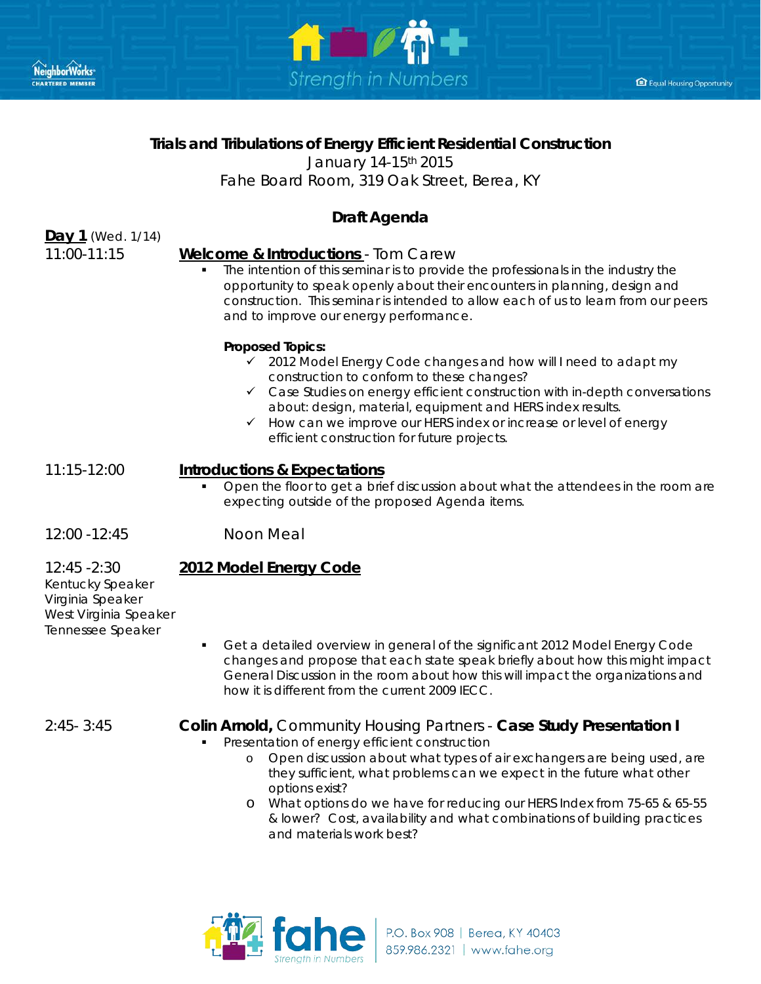



Equal Housing Opportunity

## **Trials and Tribulations of Energy Efficient Residential Construction**

January 14-15th 2015

*Fahe Board Room, 319 Oak Street, Berea, KY* 

# **Draft Agenda**

**Day 1** (Wed. 1/14)

### 11:00-11:15 **Welcome & Introductions** - *Tom Carew*

 The intention of this seminar is to provide the professionals in the industry the opportunity to speak openly about their encounters in planning, design and construction. This seminar is intended to allow each of us to learn from our peers and to improve our energy performance.

#### **Proposed Topics:**

- 2012 Model Energy Code changes and how will I need to adapt my construction to conform to these changes?
- $\checkmark$  Case Studies on energy efficient construction with in-depth conversations about: design, material, equipment and HERS index results.
- $\checkmark$  How can we improve our HERS index or increase or level of energy efficient construction for future projects.

### 11:15-12:00 **Introductions & Expectations**

- Open the floor to get a brief discussion about what the attendees in the room are expecting outside of the proposed Agenda items.
- 12:00 -12:45 Noon Meal

### 12:45 -2:30 **2012 Model Energy Code**

Kentucky Speaker Virginia Speaker West Virginia Speaker Tennessee Speaker

 Get a detailed overview in general of the significant 2012 Model Energy Code changes and propose that each state speak briefly about how this might impact General Discussion in the room about how this will impact the organizations and how it is different from the current 2009 IECC.

### 2:45- 3:45 *Colin Arnold***,** *Community Housing Partners* - **Case Study Presentation I**

- Presentation of energy efficient construction
	- o Open discussion about what types of air exchangers are being used, are they sufficient, what problems can we expect in the future what other options exist?
	- o What options do we have for reducing our HERS Index from 75-65 & 65-55 & lower? Cost, availability and what combinations of building practices and materials work best?

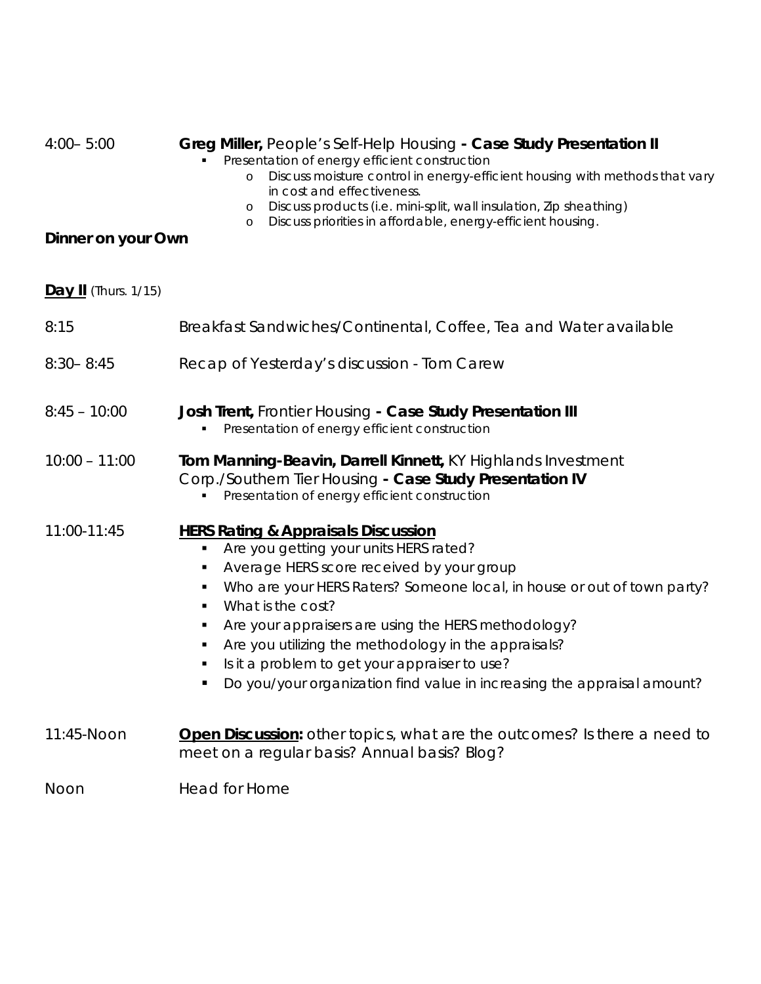| $4:00 - 5:00$               | Greg Miller, People's Self-Help Housing - Case Study Presentation II<br>Presentation of energy efficient construction<br>Discuss moisture control in energy-efficient housing with methods that vary<br>$\circ$<br>in cost and effectiveness.<br>Discuss products (i.e. mini-split, wall insulation, Zip sheathing)<br>$\circ$<br>Discuss priorities in affordable, energy-efficient housing.<br>$\circ$                                                                                             |
|-----------------------------|------------------------------------------------------------------------------------------------------------------------------------------------------------------------------------------------------------------------------------------------------------------------------------------------------------------------------------------------------------------------------------------------------------------------------------------------------------------------------------------------------|
| Dinner on your Own          |                                                                                                                                                                                                                                                                                                                                                                                                                                                                                                      |
| <b>Day II</b> (Thurs. 1/15) |                                                                                                                                                                                                                                                                                                                                                                                                                                                                                                      |
| 8:15                        | Breakfast Sandwiches/Continental, Coffee, Tea and Water available                                                                                                                                                                                                                                                                                                                                                                                                                                    |
| $8:30 - 8:45$               | Recap of Yesterday's discussion - Tom Carew                                                                                                                                                                                                                                                                                                                                                                                                                                                          |
| $8:45 - 10:00$              | Josh Trent, Frontier Housing - Case Study Presentation III<br>Presentation of energy efficient construction                                                                                                                                                                                                                                                                                                                                                                                          |
| $10:00 - 11:00$             | Tom Manning-Beavin, Darrell Kinnett, KY Highlands Investment<br>Corp./Southern Tier Housing - Case Study Presentation IV<br>Presentation of energy efficient construction                                                                                                                                                                                                                                                                                                                            |
| 11:00-11:45                 | <b>HERS Rating &amp; Appraisals Discussion</b><br>Are you getting your units HERS rated?<br>٠<br>Average HERS score received by your group<br>Who are your HERS Raters? Someone local, in house or out of town party?<br>٠<br>What is the cost?<br>٠<br>Are your appraisers are using the HERS methodology?<br>٠<br>Are you utilizing the methodology in the appraisals?<br>Is it a problem to get your appraiser to use?<br>Do you/your organization find value in increasing the appraisal amount? |
| 11:45-Noon                  | <b>Open Discussion:</b> other topics, what are the outcomes? Is there a need to<br>meet on a regular basis? Annual basis? Blog?                                                                                                                                                                                                                                                                                                                                                                      |
| Noon                        | Head for Home                                                                                                                                                                                                                                                                                                                                                                                                                                                                                        |